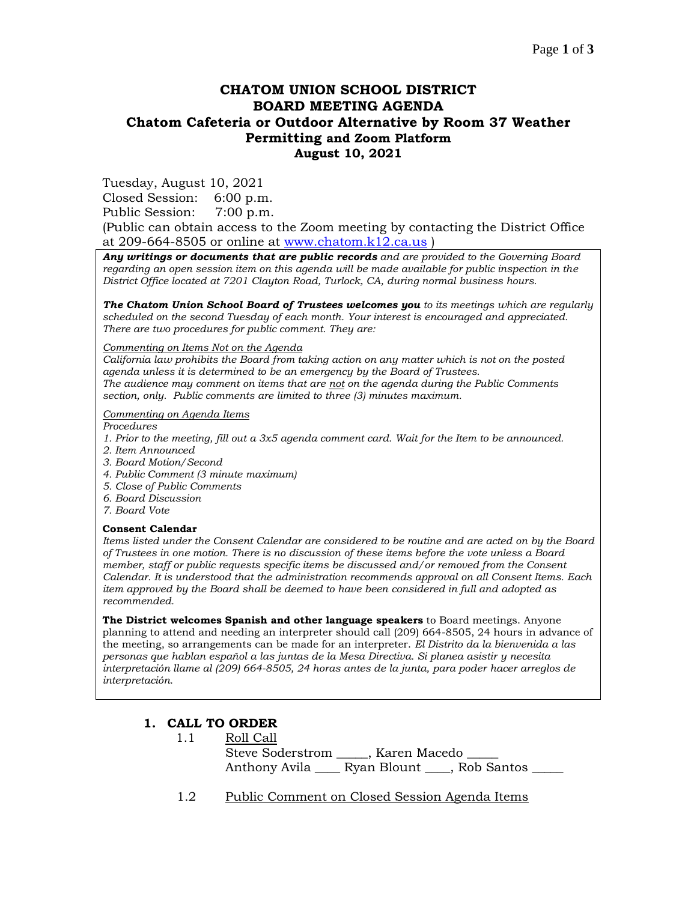# **CHATOM UNION SCHOOL DISTRICT BOARD MEETING AGENDA Chatom Cafeteria or Outdoor Alternative by Room 37 Weather Permitting and Zoom Platform August 10, 2021**

Tuesday, August 10, 2021

Closed Session: 6:00 p.m.

Public Session: 7:00 p.m.

(Public can obtain access to the Zoom meeting by contacting the District Office at 209-664-8505 or online at [www.chatom.k12.ca.us](http://www.chatom.k12.ca.us/) )

*Any writings or documents that are public records and are provided to the Governing Board regarding an open session item on this agenda will be made available for public inspection in the District Office located at 7201 Clayton Road, Turlock, CA, during normal business hours.*

*The Chatom Union School Board of Trustees welcomes you to its meetings which are regularly scheduled on the second Tuesday of each month. Your interest is encouraged and appreciated. There are two procedures for public comment. They are:*

#### *Commenting on Items Not on the Agenda*

*California law prohibits the Board from taking action on any matter which is not on the posted agenda unless it is determined to be an emergency by the Board of Trustees. The audience may comment on items that are not on the agenda during the Public Comments section, only. Public comments are limited to three (3) minutes maximum.*

#### *Commenting on Agenda Items*

*Procedures* 

- *1. Prior to the meeting, fill out a 3x5 agenda comment card. Wait for the Item to be announced.*
- *2. Item Announced*
- *3. Board Motion/Second*
- *4. Public Comment (3 minute maximum)*
- *5. Close of Public Comments*
- *6. Board Discussion*
- *7. Board Vote*

#### **Consent Calendar**

*Items listed under the Consent Calendar are considered to be routine and are acted on by the Board of Trustees in one motion. There is no discussion of these items before the vote unless a Board member, staff or public requests specific items be discussed and/or removed from the Consent Calendar. It is understood that the administration recommends approval on all Consent Items. Each item approved by the Board shall be deemed to have been considered in full and adopted as recommended.*

**The District welcomes Spanish and other language speakers** to Board meetings. Anyone planning to attend and needing an interpreter should call (209) 664-8505, 24 hours in advance of the meeting, so arrangements can be made for an interpreter. *El Distrito da la bienvenida a las personas que hablan español a las juntas de la Mesa Directiva. Si planea asistir y necesita interpretación llame al (209) 664-8505, 24 horas antes de la junta, para poder hacer arreglos de interpretación.*

## **1. CALL TO ORDER**

| 1.1 | Roll Call                            |                                 |  |
|-----|--------------------------------------|---------------------------------|--|
|     |                                      | Steve Soderstrom , Karen Macedo |  |
|     | Anthony Avila Ryan Blount Rob Santos |                                 |  |

1.2 Public Comment on Closed Session Agenda Items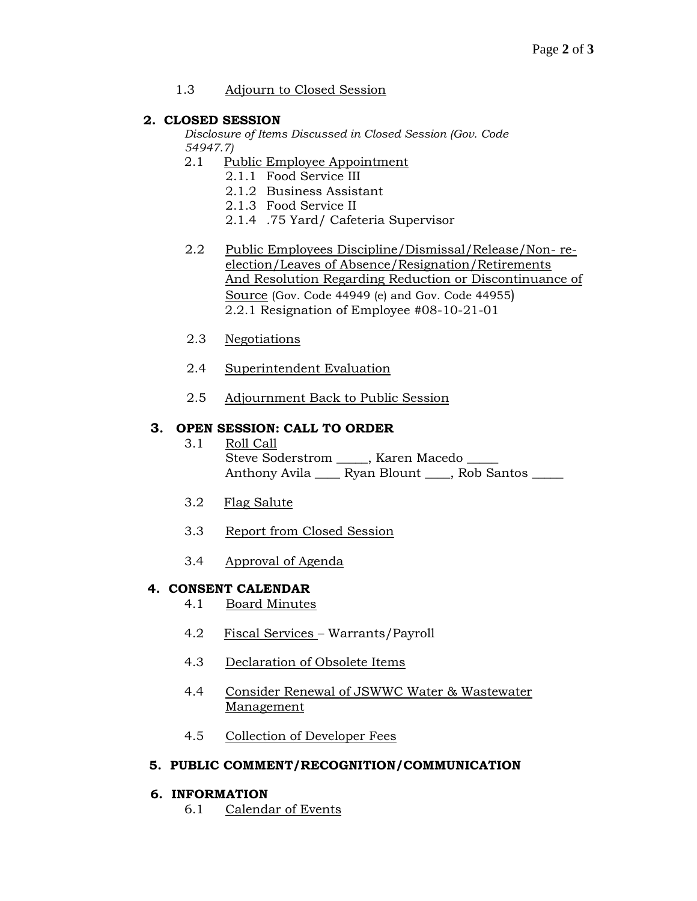## 1.3 Adjourn to Closed Session

## **2. CLOSED SESSION**

*Disclosure of Items Discussed in Closed Session (Gov. Code 54947.7)*

- 2.1 Public Employee Appointment
	- 2.1.1 Food Service III
	- 2.1.2 Business Assistant
	- 2.1.3 Food Service II
	- 2.1.4 .75 Yard/ Cafeteria Supervisor
- 2.2 Public Employees Discipline/Dismissal/Release/Non- reelection/Leaves of Absence/Resignation/Retirements And Resolution Regarding Reduction or Discontinuance of Source (Gov. Code 44949 (e) and Gov. Code 44955) 2.2.1 Resignation of Employee #08-10-21-01
- 2.3 Negotiations
- 2.4 Superintendent Evaluation
- 2.5 Adjournment Back to Public Session

## **3. OPEN SESSION: CALL TO ORDER**

- 3.1 Roll Call Steve Soderstrom \_\_\_\_, Karen Macedo Anthony Avila \_\_\_\_ Ryan Blount \_\_\_\_, Rob Santos \_\_\_\_\_
- 3.2 Flag Salute
- 3.3 Report from Closed Session
- 3.4 Approval of Agenda

# **4. CONSENT CALENDAR**

- 4.1 Board Minutes
- 4.2 Fiscal Services Warrants/Payroll
- 4.3 Declaration of Obsolete Items
- 4.4 Consider Renewal of JSWWC Water & Wastewater Management
- 4.5 Collection of Developer Fees

## **5. PUBLIC COMMENT/RECOGNITION/COMMUNICATION**

## **6. INFORMATION**

6.1 Calendar of Events